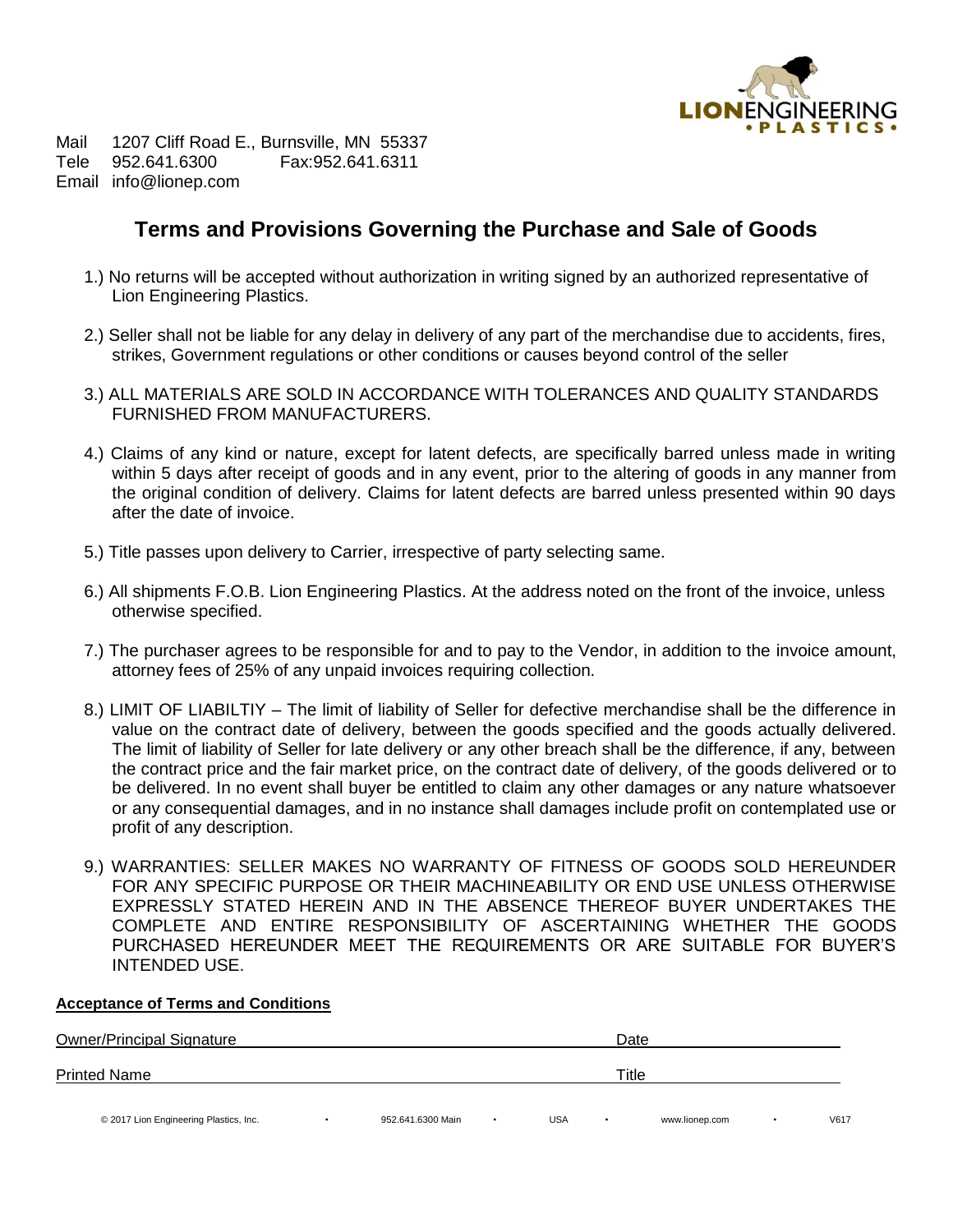

Mail 1207 Cliff Road E., Burnsville, MN 55337 Tele 952.641.6300 Fax:952.641.6311 Email info@lionep.com

# **Terms and Provisions Governing the Purchase and Sale of Goods**

- 1.) No returns will be accepted without authorization in writing signed by an authorized representative of Lion Engineering Plastics.
- 2.) Seller shall not be liable for any delay in delivery of any part of the merchandise due to accidents, fires, strikes, Government regulations or other conditions or causes beyond control of the seller
- 3.) ALL MATERIALS ARE SOLD IN ACCORDANCE WITH TOLERANCES AND QUALITY STANDARDS FURNISHED FROM MANUFACTURERS.
- 4.) Claims of any kind or nature, except for latent defects, are specifically barred unless made in writing within 5 days after receipt of goods and in any event, prior to the altering of goods in any manner from the original condition of delivery. Claims for latent defects are barred unless presented within 90 days after the date of invoice.
- 5.) Title passes upon delivery to Carrier, irrespective of party selecting same.
- 6.) All shipments F.O.B. Lion Engineering Plastics. At the address noted on the front of the invoice, unless otherwise specified.
- 7.) The purchaser agrees to be responsible for and to pay to the Vendor, in addition to the invoice amount, attorney fees of 25% of any unpaid invoices requiring collection.
- 8.) LIMIT OF LIABILTIY The limit of liability of Seller for defective merchandise shall be the difference in value on the contract date of delivery, between the goods specified and the goods actually delivered. The limit of liability of Seller for late delivery or any other breach shall be the difference, if any, between the contract price and the fair market price, on the contract date of delivery, of the goods delivered or to be delivered. In no event shall buyer be entitled to claim any other damages or any nature whatsoever or any consequential damages, and in no instance shall damages include profit on contemplated use or profit of any description.
- 9.) WARRANTIES: SELLER MAKES NO WARRANTY OF FITNESS OF GOODS SOLD HEREUNDER FOR ANY SPECIFIC PURPOSE OR THEIR MACHINEABILITY OR END USE UNLESS OTHERWISE EXPRESSLY STATED HEREIN AND IN THE ABSENCE THEREOF BUYER UNDERTAKES THE COMPLETE AND ENTIRE RESPONSIBILITY OF ASCERTAINING WHETHER THE GOODS PURCHASED HEREUNDER MEET THE REQUIREMENTS OR ARE SUITABLE FOR BUYER'S INTENDED USE.

### **Acceptance of Terms and Conditions**

| <b>Owner/Principal Signature</b>       |  |                   |       | Date       |  |                |  |      |  |  |
|----------------------------------------|--|-------------------|-------|------------|--|----------------|--|------|--|--|
| <b>Printed Name</b>                    |  |                   | Title |            |  |                |  |      |  |  |
| © 2017 Lion Engineering Plastics, Inc. |  | 952.641.6300 Main |       | <b>USA</b> |  | www.lionep.com |  | V617 |  |  |